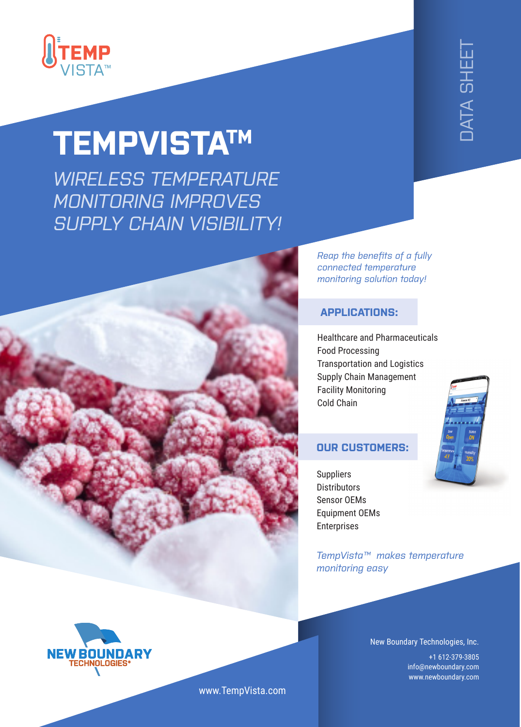

## **TEMPVISTATM**

*WIRELESS TEMPERATURE MONITORING IMPROVES SUPPLY CHAIN VISIBILITY!*



*Reap the benefits of a fully connected temperature monitoring solution today!*

## **APPLICATIONS:**

Healthcare and Pharmaceuticals Food Processing Transportation and Logistics Supply Chain Management Facility Monitoring Cold Chain

## **OUR CUSTOMERS:**

**Suppliers Distributors** Sensor OEMs Equipment OEMs Enterprises

*TempVista™ makes temperature monitoring easy* 

> New Boundary Technologies, Inc. +1 612-379-3805 info@newboundary.com www.newboundary.com





www.TempVista.com